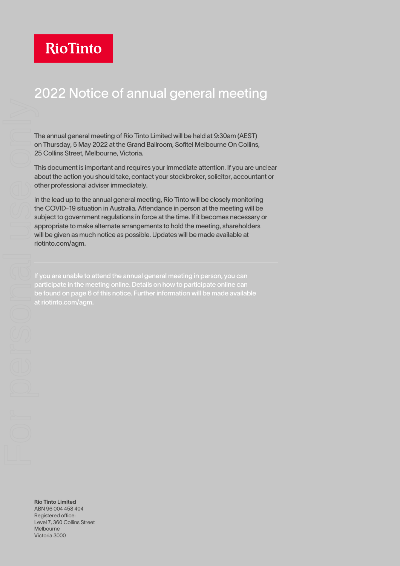# **RioTinto**

# 2022 Notice of annual general meeting

The annual general meeting of Rio Tinto Limited will be held at 9:30am (AEST) on Thursday, 5 May 2022 at the Grand Ballroom, Sofitel Melbourne On Collins, 25 Collins Street, Melbourne, Victoria.

This document is important and requires your immediate attention. If you are unclear about the action you should take, contact your stockbroker, solicitor, accountant or other professional adviser immediately.

In the lead up to the annual general meeting, Rio Tinto will be closely monitoring the COVID-19 situation in Australia. Attendance in person at the meeting will be subject to government regulations in force at the time. If it becomes necessary or appropriate to make alternate arrangements to hold the meeting, shareholders will be given as much notice as possible. Updates will be made available at [riotinto.com/agm](https://www.riotinto.com/invest/shareholder-information/annual-general-meetings).

If you are unable to attend the annual general meeting in person, you can participate in the meeting online. Details on how to participate online can be found on page 6 of this notice. Further information will be made available at [riotinto.com/agm](https://www.riotinto.com/invest/shareholder-information/annual-general-meetings).

Rio Tinto Limited ABN 96 004 458 404 Registered office: Level 7, 360 Collins Street Melbourne Victoria 3000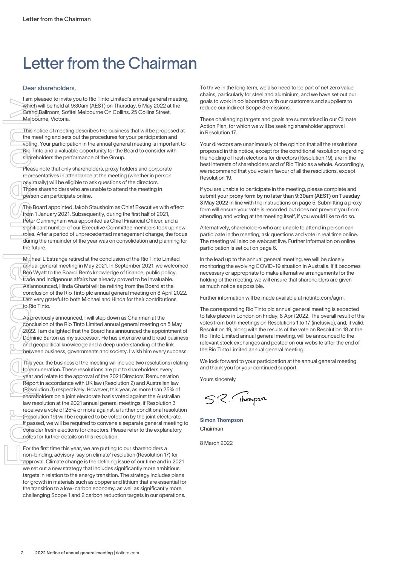# Letter from the Chairman

### Dear shareholders,

I am pleased to invite you to Rio Tinto Limited's annual general meeting, which will be held at 9:30am (AEST) on Thursday, 5 May 2022 at the Grand Ballroom, Sofitel Melbourne On Collins, 25 Collins Street, Melbourne, Victoria.

This notice of meeting describes the business that will be proposed at the meeting and sets out the procedures for your participation and voting. Your participation in the annual general meeting is important to Rio Tinto and a valuable opportunity for the Board to consider with shareholders the performance of the Group.

Please note that only shareholders, proxy holders and corporate representatives in attendance at the meeting (whether in person or virtually) will be eligible to ask questions of the directors. Those shareholders who are unable to attend the meeting in person can participate online.

The Board appointed Jakob Stausholm as Chief Executive with effect from 1 January 2021. Subsequently, during the first half of 2021, Peter Cunningham was appointed as Chief Financial Officer, and a significant number of our Executive Committee members took up new roles. After a period of unprecedented management change, the focus during the remainder of the year was on consolidation and planning for the future.

Michael L'Estrange retired at the conclusion of the Rio Tinto Limited annual general meeting in May 2021. In September 2021, we welcomed Ben Wyatt to the Board. Ben's knowledge of finance, public policy, trade and Indigenous affairs has already proved to be invaluable. As announced, Hinda Gharbi will be retiring from the Board at the conclusion of the Rio Tinto plc annual general meeting on 8 April 2022. **Tam very grateful to both Michael and Hinda for their contributions** to Rio Tinto.

As previously announced, I will step down as Chairman at the conclusion of the Rio Tinto Limited annual general meeting on 5 May 2022. I am delighted that the Board has announced the appointment of Dominic Barton as my successor. He has extensive and broad business and geopolitical knowledge and a deep understanding of the link between business, governments and society. I wish him every success.

This year, the business of the meeting will include two resolutions relating to remuneration. These resolutions are put to shareholders every year and relate to the approval of the 2021 Directors' Remuneration Report in accordance with UK law (Resolution 2) and Australian law (Resolution 3) respectively. However, this year, as more than 25% of shareholders on a joint electorate basis voted against the Australian law resolution at the 2021 annual general meetings, if Resolution 3 receives a vote of 25% or more against, a further conditional resolution (Resolution 19) will be required to be voted on by the joint electorate. If passed, we will be required to convene a separate general meeting to consider fresh elections for directors. Please refer to the explanatory notes for further details on this resolution. 2 and personal control to the Rio Timb and Control to the Rio This and Control to the Rio This and Control to the meeting and sets out the procedures for your winding, 25<br>
Melbourne, Victoria.<br>
This notice of mediang descr

For the first time this year, we are putting to our shareholders a non-binding, advisory 'say on climate' resolution (Resolution 17) for approval. Climate change is the defining issue of our time and in 2021 we set out a new strategy that includes significantly more ambitious targets in relation to the energy transition. The strategy includes plans for growth in materials such as copper and lithium that are essential for the transition to a low-carbon economy, as well as significantly more challenging Scope 1 and 2 carbon reduction targets in our operations.

To thrive in the long term, we also need to be part of net zero value chains, particularly for steel and aluminium, and we have set out our goals to work in collaboration with our customers and suppliers to reduce our indirect Scope 3 emissions.

These challenging targets and goals are summarised in our Climate Action Plan, for which we will be seeking shareholder approval in Resolution 17.

Your directors are unanimously of the opinion that all the resolutions proposed in this notice, except for the conditional resolution regarding the holding of fresh elections for directors (Resolution 19), are in the best interests of shareholders and of Rio Tinto as a whole. Accordingly, we recommend that you vote in favour of all the resolutions, except Resolution 19.

If you are unable to participate in the meeting, please complete and submit your proxy form by no later than 9:30am (AEST) on Tuesday 3 May 2022 in line with the instructions on page 5. Submitting a proxy form will ensure your vote is recorded but does not prevent you from attending and voting at the meeting itself, if you would like to do so.

Alternatively, shareholders who are unable to attend in person can participate in the meeting, ask questions and vote in real time online. The meeting will also be webcast live. Further information on online participation is set out on page 6.

In the lead up to the annual general meeting, we will be closely monitoring the evolving COVID-19 situation in Australia. If it becomes necessary or appropriate to make alternative arrangements for the holding of the meeting, we will ensure that shareholders are given as much notice as possible.

Further information will be made available at riotinto.com/agm.

The corresponding Rio Tinto plc annual general meeting is expected to take place in London on Friday, 8 April 2022. The overall result of the votes from both meetings on Resolutions 1 to 17 (inclusive), and, if valid, Resolution 19, along with the results of the vote on Resolution 18 at the Rio Tinto Limited annual general meeting, will be announced to the relevant stock exchanges and posted on our website after the end of the Rio Tinto Limited annual general meeting.

We look forward to your participation at the annual general meeting and thank you for your continued support.

Yours sincerely

S.R. Thompson

Simon Thompson Chairman

8 March 2022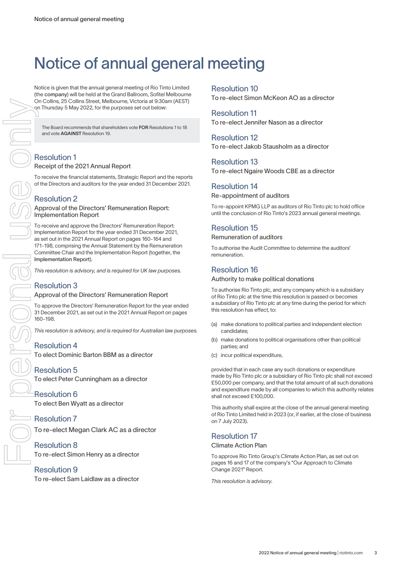# Notice of annual general meeting

Notice is given that the annual general meeting of Rio Tinto Limited (the company) will be held at the Grand Ballroom, Sofitel Melbourne On Collins, 25 Collins Street, Melbourne, Victoria at 9:30am (AEST) on Thursday 5 May 2022, for the purposes set out below:

The Board recommends that shareholders vote FOR Resolutions 1 to 18 and vote AGAINST Resolution 19.

# Resolution 1

## Receipt of the 2021 Annual Report

To receive the financial statements, Strategic Report and the reports of the Directors and auditors for the year ended 31 December 2021.

# Resolution 2

#### Approval of the Directors' Remuneration Report: Implementation Report

To receive and approve the Directors' Remuneration Report: Implementation Report for the year ended 31 December 2021, as set out in the 2021 Annual Report on pages 160-164 and 171-198, comprising the Annual Statement by the Remuneration Committee Chair and the Implementation Report (together, the Implementation Report).

*This resolution is advisory, and is required for UK law purposes.*

# Resolution 3

### Approval of the Directors' Remuneration Report

To approve the Directors' Remuneration Report for the year ended 31 December 2021, as set out in the 2021 Annual Report on pages 160-198.

*This resolution is advisory, and is required for Australian law purposes.*

## Resolution 4

To elect Dominic Barton BBM as a director

# Resolution 5

To elect Peter Cunningham as a director

## Resolution 6

To elect Ben Wyatt as a director

# Resolution 7

To re-elect Megan Clark AC as a director

# Resolution 8 To re-elect Simon Henry as a director

# Resolution 9

To re-elect Sam Laidlaw as a director

# Resolution 10

To re-elect Simon McKeon AO as a director

# Resolution 11

To re-elect Jennifer Nason as a director

# Resolution 12

To re-elect Jakob Stausholm as a director

# Resolution 13

To re-elect Ngaire Woods CBE as a director

# Resolution 14

### Re-appointment of auditors

To re-appoint KPMG LLP as auditors of Rio Tinto plc to hold office until the conclusion of Rio Tinto's 2023 annual general meetings.

# Resolution 15

Remuneration of auditors

To authorise the Audit Committee to determine the auditors' remuneration.

# Resolution 16

Authority to make political donations

To authorise Rio Tinto plc, and any company which is a subsidiary of Rio Tinto plc at the time this resolution is passed or becomes a subsidiary of Rio Tinto plc at any time during the period for which this resolution has effect, to:

- (a) make donations to political parties and independent election candidates;
- (b) make donations to political organisations other than political parties; and
- (c) incur political expenditure,

provided that in each case any such donations or expenditure made by Rio Tinto plc or a subsidiary of Rio Tinto plc shall not exceed £50,000 per company, and that the total amount of all such donations and expenditure made by all companies to which this authority relates shall not exceed £100,000.

This authority shall expire at the close of the annual general meeting of Rio Tinto Limited held in 2023 (or, if earlier, at the close of business on 7 July 2023).

# Resolution 17

### Climate Action Plan

To approve Rio Tinto Group's Climate Action Plan, as set out on pages 16 and 17 of the company's "Our Approach to Climate Change 2021" Report.

*This resolution is advisory.*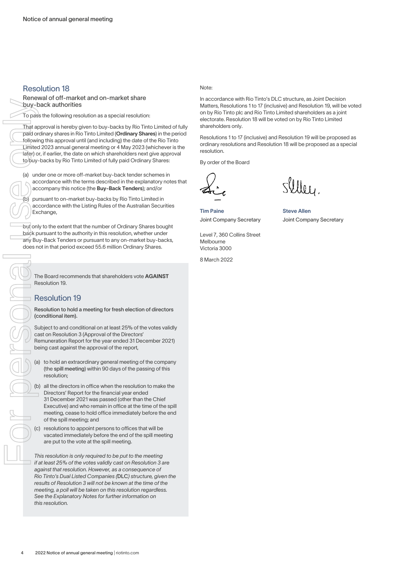# Resolution 18

### Renewal of off-market and on-market share buy-back authorities

To pass the following resolution as a special resolution:

That approval is hereby given to buy-backs by Rio Tinto Limited of fully paid ordinary shares in Rio Tinto Limited (Ordinary Shares) in the period following this approval until (and including) the date of the Rio Tinto Limited 2023 annual general meeting or 4 May 2023 (whichever is the later) or, if earlier, the date on which shareholders next give approval to buy-backs by Rio Tinto Limited of fully paid Ordinary Shares:

(a) under one or more off-market buy-back tender schemes in accordance with the terms described in the explanatory notes that accompany this notice (the **Buy-Back Tenders**); and/or

(b) pursuant to on-market buy-backs by Rio Tinto Limited in accordance with the Listing Rules of the Australian Securities Exchange.

but only to the extent that the number of Ordinary Shares bought back pursuant to the authority in this resolution, whether under any Buy-Back Tenders or pursuant to any on-market buy-backs, does not in that period exceed 55.6 million Ordinary Shares.

The Board recommends that shareholders vote **AGAINST** Resolution 19.

# Resolution 19

Resolution to hold a meeting for fresh election of directors (conditional item).

Subject to and conditional on at least 25% of the votes validly cast on Resolution 3 (Approval of the Directors' Remuneration Report for the year ended 31 December 2021) being cast against the approval of the report,

- (a) to hold an extraordinary general meeting of the company (the spill meeting) within 90 days of the passing of this resolution;
- (b) all the directors in office when the resolution to make the Directors' Report for the financial year ended 31 December 2021 was passed (other than the Chief Executive) and who remain in office at the time of the spill meeting, cease to hold office immediately before the end of the spill meeting; and
- (c) resolutions to appoint persons to offices that will be vacated immediately before the end of the spill meeting are put to the vote at the spill meeting.

*This resolution is only required to be put to the meeting if at least 25% of the votes validly cast on Resolution 3 are against that resolution. However, as a consequence of Rio Tinto's Dual Listed Companies (*DLC*) structure, given the results of Resolution 3 will not be known at the time of the meeting, a poll will be taken on this resolution regardless. See the Explanatory Notes for further information on this resolution.*

#### Note:

In accordance with Rio Tinto's DLC structure, as Joint Decision Matters, Resolutions 1 to 17 (inclusive) and Resolution 19, will be voted on by Rio Tinto plc and Rio Tinto Limited shareholders as a joint electorate. Resolution 18 will be voted on by Rio Tinto Limited shareholders only.

Resolutions 1 to 17 (inclusive) and Resolution 19 will be proposed as ordinary resolutions and Resolution 18 will be proposed as a special resolution.

By order of the Board

Tim Paine Joint Company Secretary

Level 7, 360 Collins Street Melbourne Victoria 3000

8 March 2022

Silley

Steve Allen Joint Company Secretary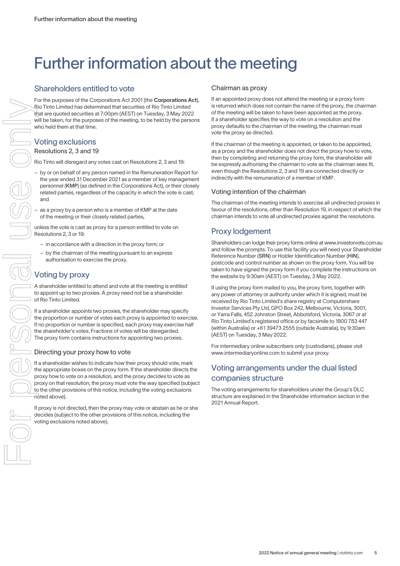# Further information about the meeting

# Shareholders entitled to vote

For the purposes of the Corporations Act 2001 (the Corporations Act), Rio Tinto Limited has determined that securities of Rio Tinto Limited that are quoted securities at 7:00pm (AEST) on Tuesday, 3 May 2022 will be taken, for the purposes of the meeting, to be held by the persons who held them at that time.

### Voting exclusions Resolutions 2, 3 and 19

Rio Tinto will disregard any votes cast on Resolutions 2, 3 and 19:

– by or on behalf of any person named in the Remuneration Report for the year ended 31 December 2021 as a member of key management personnel (KMP) (as defined in the Corporations Act), or their closely related parties, regardless of the capacity in which the vote is cast; and

– as a proxy by a person who is a member of KMP at the date of the meeting or their closely related parties,

unless the vote is cast as proxy for a person entitled to vote on Resolutions 2, 3 or 19:

- in accordance with a direction in the proxy form; or
- by the chairman of the meeting pursuant to an express authorisation to exercise the proxy.

# Voting by proxy

A shareholder entitled to attend and vote at the meeting is entitled to appoint up to two proxies. A proxy need not be a shareholder of Rio Tinto Limited.

If a shareholder appoints two proxies, the shareholder may specify the proportion or number of votes each proxy is appointed to exercise. If no proportion or number is specified, each proxy may exercise half the shareholder's votes. Fractions of votes will be disregarded. The proxy form contains instructions for appointing two proxies.

## Directing your proxy how to vote

If a shareholder wishes to indicate how their proxy should vote, mark the appropriate boxes on the proxy form. If the shareholder directs the proxy how to vote on a resolution, and the proxy decides to vote as proxy on that resolution, the proxy must vote the way specified (subject to the other provisions of this notice, including the voting exclusions noted above).

If proxy is not directed, then the proxy may vote or abstain as he or she decides (subject to the other provisions of this notice, including the voting exclusions noted above).

### Chairman as proxy

If an appointed proxy does not attend the meeting or a proxy form is returned which does not contain the name of the proxy, the chairman of the meeting will be taken to have been appointed as the proxy. If a shareholder specifies the way to vote on a resolution and the proxy defaults to the chairman of the meeting, the chairman must vote the proxy as directed.

If the chairman of the meeting is appointed, or taken to be appointed, as a proxy and the shareholder does not direct the proxy how to vote, then by completing and returning the proxy form, the shareholder will be expressly authorising the chairman to vote as the chairman sees fit, even though the Resolutions 2, 3 and 19 are connected directly or indirectly with the remuneration of a member of KMP.

## Voting intention of the chairman

The chairman of the meeting intends to exercise all undirected proxies in favour of the resolutions, other than Resolution 19, in respect of which the chairman intends to vote all undirected proxies against the resolutions.

# Proxy lodgement

Shareholders can lodge their proxy forms online at [www.investorvote.com.au](https://www.investorvote.com.au/Login) and follow the prompts. To use this facility you will need your Shareholder Reference Number (SRN) or Holder Identification Number (HIN), postcode and control number as shown on the proxy form. You will be taken to have signed the proxy form if you complete the instructions on the website by 9:30am (AEST) on Tuesday, 3 May 2022.

If using the proxy form mailed to you, the proxy form, together with any power of attorney or authority under which it is signed, must be received by Rio Tinto Limited's share registry at Computershare Investor Services Pty Ltd, GPO Box 242, Melbourne, Victoria, 3001, or Yarra Falls, 452 Johnston Street, Abbotsford, Victoria, 3067 or at Rio Tinto Limited's registered office or by facsimile to 1800 783 447 (within Australia) or +61 39473 2555 (outside Australia), by 9:30am (AEST) on Tuesday, 3 May 2022.

For intermediary online subscribers only (custodians), please visit [www.intermediaryonline.com](https://www.intermediaryonline.com/Login.aspx) to submit your proxy.

# Voting arrangements under the dual listed companies structure

The voting arrangements for shareholders under the Group's DLC structure are explained in the Shareholder information section in the 2021 Annual Report.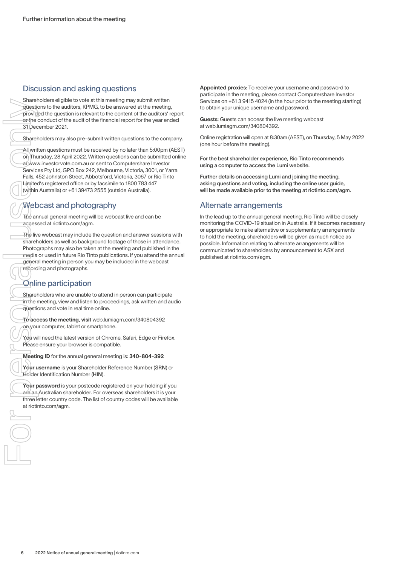# Discussion and asking questions

Shareholders eligible to vote at this meeting may submit written questions to the auditors, KPMG, to be answered at the meeting, provided the question is relevant to the content of the auditors' report or the conduct of the audit of the financial report for the year ended 31 December 2021.

Shareholders may also pre-submit written questions to the company.

All written questions must be received by no later than 5:00pm (AEST) on Thursday, 28 April 2022. Written questions can be submitted online at www.investorvote.com.au or sent to Computershare Investor Services Pty Ltd, GPO Box 242, Melbourne, Victoria, 3001, or Yarra Falls, 452 Johnston Street, Abbotsford, Victoria, 3067 or Rio Tinto Limited's registered office or by facsimile to 1800 783 447 (within Australia) or +61 39473 2555 (outside Australia). Since the material of vecta string many comparison to the authors, KPMG, to be answered of the conduct of the conduct of the conduct of the financial report of all personable of the conduct of the conduct of the conduct of

# Webcast and photography

The annual general meeting will be webcast live and can be accessed at riotinto.com/agm.

The live webcast may include the question and answer sessions with shareholders as well as background footage of those in attendance. Photographs may also be taken at the meeting and published in the media or used in future Rio Tinto publications. If you attend the annual general meeting in person you may be included in the webcast recording and photographs.

# Online participation

Shareholders who are unable to attend in person can participate in the meeting, view and listen to proceedings, ask written and audio questions and vote in real time online.

To access the meeting, visit [web.lumiagm.com/340804392](https://web.lumiagm.com/#/340804392) on your computer, tablet or smartphone.

You will need the latest version of Chrome, Safari, Edge or Firefox. Please ensure your browser is compatible.

Meeting ID for the annual general meeting is: 340-804-392

Your username is your Shareholder Reference Number (SRN) or Holder Identification Number (HIN).

Your password is your postcode registered on your holding if you are an Australian shareholder. For overseas shareholders it is your three letter country code. The list of country codes will be available at [riotinto.com/agm](https://www.riotinto.com/invest/shareholder-information/annual-general-meetings).

Appointed proxies: To receive your username and password to participate in the meeting, please contact Computershare Investor Services on +61 3 9415 4024 (in the hour prior to the meeting starting) to obtain your unique username and password.

Guests: Guests can access the live meeting webcast at [web.lumiagm.com/340804392.](https://web.lumiagm.com/#/340804392)

Online registration will open at 8:30am (AEST), on Thursday, 5 May 2022 (one hour before the meeting).

For the best shareholder experience, Rio Tinto recommends using a computer to access the Lumi website.

Further details on accessing Lumi and joining the meeting, asking questions and voting, including the online user guide, will be made available prior to the meeting at [riotinto.com/agm.](https://www.riotinto.com/invest/shareholder-information/annual-general-meetings)

# Alternate arrangements

In the lead up to the annual general meeting, Rio Tinto will be closely monitoring the COVID-19 situation in Australia. If it becomes necessary or appropriate to make alternative or supplementary arrangements to hold the meeting, shareholders will be given as much notice as possible. Information relating to alternate arrangements will be communicated to shareholders by announcement to ASX and published at [riotinto.com/agm.](https://www.riotinto.com/invest/shareholder-information/annual-general-meetings)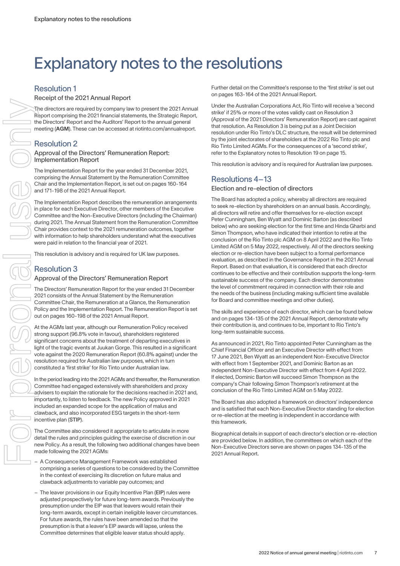# Explanatory notes to the resolutions

# Resolution 1

# Receipt of the 2021 Annual Report

The directors are required by company law to present the 2021 Annual Report comprising the 2021 financial statements, the Strategic Report, the Directors' Report and the Auditors' Report to the annual general meeting (AGM). These can be accessed at [riotinto.com/annualreport.](https://www.riotinto.com/invest/reports/annual-report)

# Resolution 2

### Approval of the Directors' Remuneration Report: Implementation Report

The Implementation Report for the year ended 31 December 2021, comprising the Annual Statement by the Remuneration Committee Chair and the Implementation Report, is set out on pages 160-164 and 171-198 of the 2021 Annual Report.

The Implementation Report describes the remuneration arrangements in place for each Executive Director, other members of the Executive Committee and the Non-Executive Directors (including the Chairman) during 2021. The Annual Statement from the Remuneration Committee Chair provides context to the 2021 remuneration outcomes, together with information to help shareholders understand what the executives were paid in relation to the financial year of 2021.

This resolution is advisory and is required for UK law purposes.

# Resolution 3

## Approval of the Directors' Remuneration Report

The Directors' Remuneration Report for the year ended 31 December 2021 consists of the Annual Statement by the Remuneration Committee Chair, the Remuneration at a Glance, the Remuneration Policy and the Implementation Report. The Remuneration Report is set out on pages 160-198 of the 2021 Annual Report.

At the AGMs last year, although our Remuneration Policy received strong support (96.8% vote in favour), shareholders registered significant concerns about the treatment of departing executives in light of the tragic events at Juukan Gorge. This resulted in a significant vote against the 2020 Remuneration Report (60.8% against) under the resolution required for Australian law purposes, which in turn constituted a 'first strike' for Rio Tinto under Australian law.

In the period leading into the 2021 AGMs and thereafter, the Remuneration Committee had engaged extensively with shareholders and proxy advisers to explain the rationale for the decisions reached in 2021 and, importantly, to listen to feedback. The new Policy approved in 2021 included an expanded scope for the application of malus and clawback, and also incorporated ESG targets in the short-term incentive plan (STIP).

The Committee also considered it appropriate to articulate in more detail the rules and principles guiding the exercise of discretion in our new Policy. As a result, the following two additional changes have been made following the 2021 AGMs:

- A Consequence Management Framework was established comprising a series of questions to be considered by the Committee in the context of exercising its discretion on future malus and clawback adjustments to variable pay outcomes; and
- The leaver provisions in our Equity Incentive Plan (EIP) rules were adjusted prospectively for future long-term awards. Previously the presumption under the EIP was that leavers would retain their long-term awards, except in certain ineligible leaver circumstances. For future awards, the rules have been amended so that the presumption is that a leaver's EIP awards will lapse, unless the Committee determines that eligible leaver status should apply.

Further detail on the Committee's response to the 'first strike' is set out on pages 163-164 of the 2021 Annual Report.

Under the Australian Corporations Act, Rio Tinto will receive a 'second strike' if 25% or more of the votes validly cast on Resolution 3 (Approval of the 2021 Directors' Remuneration Report) are cast against that resolution. As Resolution 3 is being put as a Joint Decision resolution under Rio Tinto's DLC structure, the result will be determined by the joint electorates of shareholders at the 2022 Rio Tinto plc and Rio Tinto Limited AGMs. For the consequences of a 'second strike', refer to the Explanatory notes to Resolution 19 on page 15.

This resolution is advisory and is required for Australian law purposes.

# Resolutions 4–13

# Election and re-election of directors

The Board has adopted a policy, whereby all directors are required to seek re-election by shareholders on an annual basis. Accordingly, all directors will retire and offer themselves for re-election except Peter Cunningham, Ben Wyatt and Dominic Barton (as described below) who are seeking election for the first time and Hinda Gharbi and Simon Thompson, who have indicated their intention to retire at the conclusion of the Rio Tinto plc AGM on 8 April 2022 and the Rio Tinto Limited AGM on 5 May 2022, respectively. All of the directors seeking election or re-election have been subject to a formal performance evaluation, as described in the Governance Report in the 2021 Annual Report. Based on that evaluation, it is considered that each director continues to be effective and their contribution supports the long-term sustainable success of the company. Each director demonstrates the level of commitment required in connection with their role and the needs of the business (including making sufficient time available for Board and committee meetings and other duties).

The skills and experience of each director, which can be found below and on pages 134-135 of the 2021 Annual Report, demonstrate why their contribution is, and continues to be, important to Rio Tinto's long-term sustainable success.

As announced in 2021, Rio Tinto appointed Peter Cunningham as the Chief Financial Officer and an Executive Director with effect from 17 June 2021, Ben Wyatt as an independent Non-Executive Director with effect from 1 September 2021, and Dominic Barton as an independent Non-Executive Director with effect from 4 April 2022. If elected, Dominic Barton will succeed Simon Thompson as the company's Chair following Simon Thompson's retirement at the conclusion of the Rio Tinto Limited AGM on 5 May 2022.

The Board has also adopted a framework on directors' independence and is satisfied that each Non-Executive Director standing for election or re-election at the meeting is independent in accordance with this framework.

Biographical details in support of each director's election or re-election are provided below. In addition, the committees on which each of the Non-Executive Directors serve are shown on pages 134-135 of the 2021 Annual Report.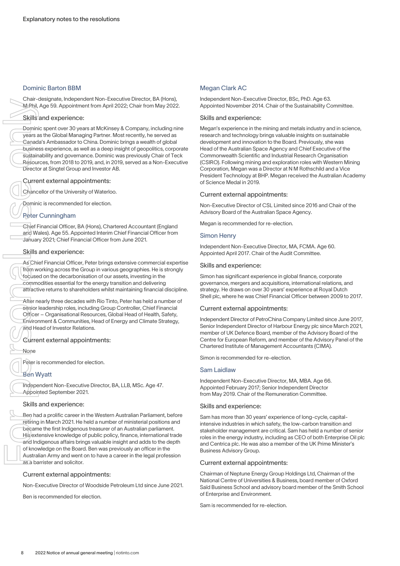## Dominic Barton BBM

Chair-designate, Independent Non-Executive Director, BA (Hons), M.Phil, Age 59. Appointment from April 2022; Chair from May 2022.

### Skills and experience:

Dominic spent over 30 years at McKinsey & Company, including nine years as the Global Managing Partner. Most recently, he served as Canada's Ambassador to China. Dominic brings a wealth of global business experience, as well as a deep insight of geopolitics, corporate sustainability and governance. Dominic was previously Chair of Teck Resources, from 2018 to 2019, and, in 2019, served as a Non-Executive Director at Singtel Group and Investor AB.

### Current external appointments:

Chancellor of the University of Waterloo.

Dominic is recommended for election.

# Peter Cunningham

Chief Financial Officer, BA (Hons), Chartered Accountant (England and Wales). Age 55. Appointed Interim Chief Financial Officer from January 2021; Chief Financial Officer from June 2021.

### Skills and experience:

As Chief Financial Officer, Peter brings extensive commercial expertise from working across the Group in various geographies. He is strongly focused on the decarbonisation of our assets, investing in the commodities essential for the energy transition and delivering attractive returns to shareholders whilst maintaining financial discipline.

After nearly three decades with Rio Tinto, Peter has held a number of senior leadership roles, including Group Controller, Chief Financial Officer – Organisational Resources, Global Head of Health, Safety, Environment & Communities, Head of Energy and Climate Strategy, and Head of Investor Relations.

### Current external appointments:

None

Peter is recommended for election.

# Ben Wyatt

Independent Non-Executive Director, BA, LLB, MSc. Age 47. Appointed September 2021.

### Skills and experience:

Ben had a prolific career in the Western Australian Parliament, before retiring in March 2021. He held a number of ministerial positions and became the first Indigenous treasurer of an Australian parliament. His extensive knowledge of public policy, finance, international trade and Indigenous affairs brings valuable insight and adds to the depth of knowledge on the Board. Ben was previously an officer in the Australian Army and went on to have a career in the legal profession as a barrister and solicitor. Computerion (and the person of annual general meeting and person of an annual general meeting and experience.<br>
Skills and experience.<br>
Computerion and the personal method Managing Partner. Most recommend the personal secon

### Current external appointments:

Non-Executive Director of Woodside Petroleum Ltd since June 2021.

Ben is recommended for election.

## Megan Clark AC

Independent Non-Executive Director, BSc, PhD. Age 63. Appointed November 2014. Chair of the Sustainability Committee.

#### Skills and experience:

Megan's experience in the mining and metals industry and in science, research and technology brings valuable insights on sustainable development and innovation to the Board. Previously, she was Head of the Australian Space Agency and Chief Executive of the Commonwealth Scientific and Industrial Research Organisation (CSIRO). Following mining and exploration roles with Western Mining Corporation, Megan was a Director at N M Rothschild and a Vice President Technology at BHP. Megan received the Australian Academy of Science Medal in 2019.

### Current external appointments:

Non-Executive Director of CSL Limited since 2016 and Chair of the Advisory Board of the Australian Space Agency.

Megan is recommended for re-election.

### Simon Henry

Independent Non-Executive Director, MA, FCMA. Age 60. Appointed April 2017. Chair of the Audit Committee.

### Skills and experience:

Simon has significant experience in global finance, corporate governance, mergers and acquisitions, international relations, and strategy. He draws on over 30 years' experience at Royal Dutch Shell plc, where he was Chief Financial Officer between 2009 to 2017.

### Current external appointments:

Independent Director of PetroChina Company Limited since June 2017, Senior Independent Director of Harbour Energy plc since March 2021, member of UK Defence Board, member of the Advisory Board of the Centre for European Reform, and member of the Advisory Panel of the Chartered Institute of Management Accountants (CIMA).

Simon is recommended for re-election.

### Sam Laidlaw

Independent Non-Executive Director, MA, MBA. Age 66. Appointed February 2017; Senior Independent Director from May 2019. Chair of the Remuneration Committee.

#### Skills and experience:

Sam has more than 30 years' experience of long-cycle, capitalintensive industries in which safety, the low-carbon transition and stakeholder management are critical. Sam has held a number of senior roles in the energy industry, including as CEO of both Enterprise Oil plc and Centrica plc. He was also a member of the UK Prime Minister's Business Advisory Group.

### Current external appointments:

Chairman of Neptune Energy Group Holdings Ltd, Chairman of the National Centre of Universities & Business, board member of Oxford Saïd Business School and advisory board member of the Smith School of Enterprise and Environment.

Sam is recommended for re-election.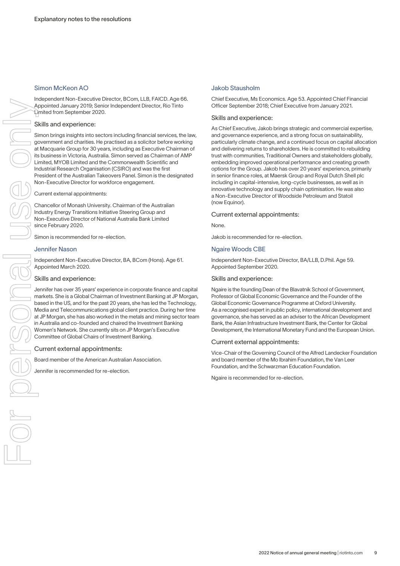## Simon McKeon AO

Independent Non-Executive Director, BCom, LLB, FAICD. Age 66. Appointed January 2019; Senior Independent Director, Rio Tinto Limited from September 2020.

### Skills and experience:

Simon brings insights into sectors including financial services, the law, government and charities. He practised as a solicitor before working at Macquarie Group for 30 years, including as Executive Chairman of its business in Victoria, Australia. Simon served as Chairman of AMP Limited, MYOB Limited and the Commonwealth Scientific and Industrial Research Organisation (CSIRO) and was the first President of the Australian Takeovers Panel. Simon is the designated Non-Executive Director for workforce engagement.

Current external appointments:

Chancellor of Monash University. Chairman of the Australian Industry Energy Transitions Initiative Steering Group and Non-Executive Director of National Australia Bank Limited since February 2020.

Simon is recommended for re-election.

#### Jennifer Nason

Independent Non-Executive Director, BA, BCom (Hons). Age 61. Appointed March 2020.

### Skills and experience:

Jennifer has over 35 years' experience in corporate finance and capital markets. She is a Global Chairman of Investment Banking at JP Morgan, based in the US, and for the past 20 years, she has led the Technology, Media and Telecommunications global client practice. During her time at JP Morgan, she has also worked in the metals and mining sector team in Australia and co-founded and chaired the Investment Banking Women's Network. She currently sits on JP Morgan's Executive Committee of Global Chairs of Investment Banking.

### Current external appointments:

Board member of the American Australian Association.

Jennifer is recommended for re-election.

#### Jakob Stausholm

Chief Executive, Ms Economics. Age 53. Appointed Chief Financial Officer September 2018; Chief Executive from January 2021.

#### Skills and experience:

As Chief Executive, Jakob brings strategic and commercial expertise, and governance experience, and a strong focus on sustainability, particularly climate change, and a continued focus on capital allocation and delivering returns to shareholders. He is committed to rebuilding trust with communities, Traditional Owners and stakeholders globally, embedding improved operational performance and creating growth options for the Group. Jakob has over 20 years' experience, primarily in senior finance roles, at Maersk Group and Royal Dutch Shell plc including in capital-intensive, long-cycle businesses, as well as in innovative technology and supply chain optimisation. He was also a Non-Executive Director of Woodside Petroleum and Statoil (now Equinor).

#### Current external appointments:

None.

Jakob is recommended for re-election.

### Ngaire Woods CBE

Independent Non-Executive Director, BA/LLB, D.Phil. Age 59. Appointed September 2020.

#### Skills and experience:

Ngaire is the founding Dean of the Blavatnik School of Government, Professor of Global Economic Governance and the Founder of the Global Economic Governance Programme at Oxford University. As a recognised expert in public policy, international development and governance, she has served as an adviser to the African Development Bank, the Asian Infrastructure Investment Bank, the Center for Global Development, the International Monetary Fund and the European Union.

#### Current external appointments:

Vice-Chair of the Governing Council of the Alfred Landecker Foundation and board member of the Mo Ibrahim Foundation, the Van Leer Foundation, and the Schwarzman Education Foundation.

Ngaire is recommended for re-election.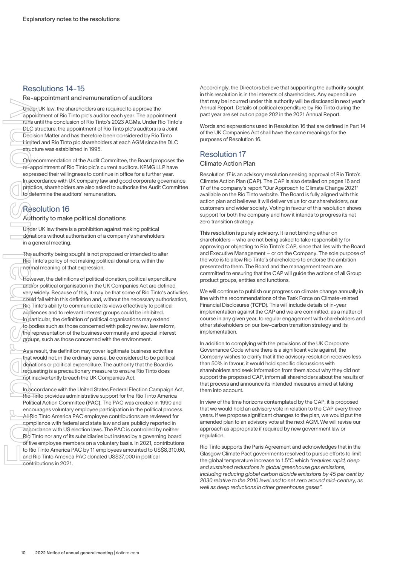# Resolutions 14-15

### Re-appointment and remuneration of auditors

Under UK law, the shareholders are required to approve the appointment of Rio Tinto plc's auditor each year. The appointment runs until the conclusion of Rio Tinto's 2023 AGMs. Under Rio Tinto's **DLC** structure, the appointment of Rio Tinto plc's auditors is a Joint Decision Matter and has therefore been considered by Rio Tinto Limited and Rio Tinto plc shareholders at each AGM since the DLC structure was established in 1995.

On recommendation of the Audit Committee, the Board proposes the re-appointment of Rio Tinto plc's current auditors. KPMG LLP have expressed their willingness to continue in office for a further year. In accordance with UK company law and good corporate governance practice, shareholders are also asked to authorise the Audit Committee to determine the auditors' remuneration.

# Resolution 16

## Authority to make political donations

Under UK law there is a prohibition against making political donations without authorisation of a company's shareholders in a general meeting.

The authority being sought is not proposed or intended to alter Rio Tinto's policy of not making political donations, within the normal meaning of that expression.

However, the definitions of political donation, political expenditure and/or political organisation in the UK Companies Act are defined very widely. Because of this, it may be that some of Rio Tinto's activities could fall within this definition and, without the necessary authorisation, Rio Tinto's ability to communicate its views effectively to political audiences and to relevant interest groups could be inhibited. In particular, the definition of political organisations may extend to bodies such as those concerned with policy review, law reform, the representation of the business community and special interest groups, such as those concerned with the environment.

As a result, the definition may cover legitimate business activities that would not, in the ordinary sense, be considered to be political donations or political expenditure. The authority that the Board is requesting is a precautionary measure to ensure Rio Tinto does not inadvertently breach the UK Companies Act.

In accordance with the United States Federal Election Campaign Act, Rio Tinto provides administrative support for the Rio Tinto America Political Action Committee (PAC). The PAC was created in 1990 and encourages voluntary employee participation in the political process. All Rio Tinto America PAC employee contributions are reviewed for compliance with federal and state law and are publicly reported in accordance with US election laws. The PAC is controlled by neither Rio Tinto nor any of its subsidiaries but instead by a governing board of five employee members on a voluntary basis. In 2021, contributions to Rio Tinto America PAC by 11 employees amounted to US\$8,310.60, and Rio Tinto America PAC donated US\$37,000 in political contributions in 2021. 10 2022 Notice that the material to the control of a periodic method is a control of the Dirich State of Rio Timber 2023 AGM-<br>
Decision Matte and has therefore been considered in the Cinctic control of Rio Timber 2023 AGM

Accordingly, the Directors believe that supporting the authority sought in this resolution is in the interests of shareholders. Any expenditure that may be incurred under this authority will be disclosed in next year's Annual Report. Details of political expenditure by Rio Tinto during the past year are set out on page 202 in the 2021 Annual Report.

Words and expressions used in Resolution 16 that are defined in Part 14 of the UK Companies Act shall have the same meanings for the purposes of Resolution 16.

# Resolution 17

### Climate Action Plan

Resolution 17 is an advisory resolution seeking approval of Rio Tinto's Climate Action Plan (CAP). The CAP is also detailed on pages 16 and 17 of the company's report "Our Approach to Climate Change 2021" available on the Rio Tinto website. The Board is fully aligned with this action plan and believes it will deliver value for our shareholders, our customers and wider society. Voting in favour of this resolution shows support for both the company and how it intends to progress its net zero transition strategy.

This resolution is purely advisory. It is not binding either on shareholders – who are not being asked to take responsibility for approving or objecting to Rio Tinto's CAP, since that lies with the Board and Executive Management – or on the Company. The sole purpose of the vote is to allow Rio Tinto's shareholders to endorse the ambition presented to them. The Board and the management team are committed to ensuring that the CAP will guide the actions of all Group product groups, entities and functions.

We will continue to publish our progress on climate change annually in line with the recommendations of the Task Force on Climate-related Financial Disclosures (TCFD). This will include details of in-year implementation against the CAP and we are committed, as a matter of course in any given year, to regular engagement with shareholders and other stakeholders on our low-carbon transition strategy and its implementation.

In addition to complying with the provisions of the UK Corporate Governance Code where there is a significant vote against, the Company wishes to clarify that if the advisory resolution receives less than 50% in favour, it would hold specific discussions with shareholders and seek information from them about why they did not support the proposed CAP, inform all shareholders about the results of that process and announce its intended measures aimed at taking them into account.

In view of the time horizons contemplated by the CAP, it is proposed that we would hold an advisory vote in relation to the CAP every three years. If we propose significant changes to the plan, we would put the amended plan to an advisory vote at the next AGM. We will revise our approach as appropriate if required by new government law or regulation.

Rio Tinto supports the Paris Agreement and acknowledges that in the Glasgow Climate Pact governments resolved to pursue efforts to limit the global temperature increase to 1.5°C which *"requires rapid, deep and sustained reductions in global greenhouse gas emissions, including reducing global carbon dioxide emissions by 45 per cent by 2030 relative to the 2010 level and to net zero around mid-century, as well as deep reductions in other greenhouse gases".*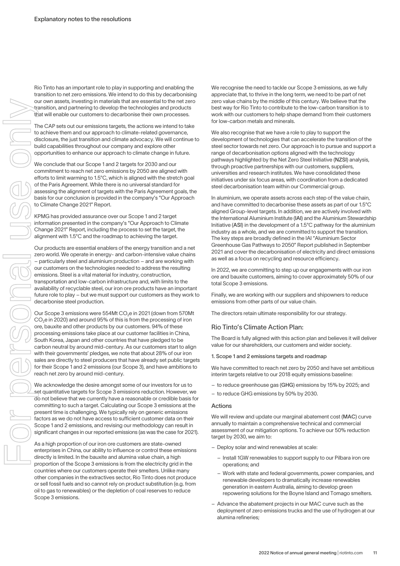Rio Tinto has an important role to play in supporting and enabling the transition to net zero emissions. We intend to do this by decarbonising our own assets, investing in materials that are essential to the net zero transition, and partnering to develop the technologies and products that will enable our customers to decarbonise their own processes.

The CAP sets out our emissions targets, the actions we intend to take to achieve them and our approach to climate-related governance, disclosure, the just transition and climate advocacy. We will continue to build capabilities throughout our company and explore other opportunities to enhance our approach to climate change in future.

We conclude that our Scope 1 and 2 targets for 2030 and our commitment to reach net zero emissions by 2050 are aligned with efforts to limit warming to 1.5°C, which is aligned with the stretch goal of the Paris Agreement. While there is no universal standard for assessing the alignment of targets with the Paris Agreement goals, the basis for our conclusion is provided in the company's "Our Approach to Climate Change 2021" Report.

KPMG has provided assurance over our Scope 1 and 2 target information presented in the company's "Our Approach to Climate Change 2021" Report, including the process to set the target, the alignment with 1.5°C and the roadmap to achieving the target.

Our products are essential enablers of the energy transition and a net zero world. We operate in energy- and carbon-intensive value chains – particularly steel and aluminium production – and are working with our customers on the technologies needed to address the resulting emissions. Steel is a vital material for industry, construction, transportation and low-carbon infrastructure and, with limits to the availability of recyclable steel, our iron ore products have an important future role to play – but we must support our customers as they work to decarbonise steel production.

Our Scope 3 emissions were 554Mt CO<sub>2</sub>e in 2021 (down from 570Mt  $CO<sub>2</sub>e$  in 2020) and around 95% of this is from the processing of iron ore, bauxite and other products by our customers. 94% of these processing emissions take place at our customer facilities in China, South Korea, Japan and other countries that have pledged to be carbon neutral by around mid-century. As our customers start to align with their governments' pledges, we note that about 28% of our iron sales are directly to steel producers that have already set public targets for their Scope 1 and 2 emissions (our Scope 3), and have ambitions to reach net zero by around mid-century.

We acknowledge the desire amongst some of our investors for us to set quantitative targets for Scope 3 emissions reduction. However, we do not believe that we currently have a reasonable or credible basis for committing to such a target. Calculating our Scope 3 emissions at the present time is challenging. We typically rely on generic emissions factors as we do not have access to sufficient customer data on their Scope 1 and 2 emissions, and revising our methodology can result in significant changes in our reported emissions (as was the case for 2021).

As a high proportion of our iron ore customers are state-owned enterprises in China, our ability to influence or control these emissions directly is limited. In the bauxite and alumina value chain, a high proportion of the Scope 3 emissions is from the electricity grid in the countries where our customers operate their smelters. Unlike many other companies in the extractives sector, Rio Tinto does not produce or sell fossil fuels and so cannot rely on product substitution (e.g. from oil to gas to renewables) or the depletion of coal reserves to reduce Scope 3 emissions.

We recognise the need to tackle our Scope 3 emissions, as we fully appreciate that, to thrive in the long term, we need to be part of net zero value chains by the middle of this century. We believe that the best way for Rio Tinto to contribute to the low-carbon transition is to work with our customers to help shape demand from their customers for low-carbon metals and minerals.

We also recognise that we have a role to play to support the development of technologies that can accelerate the transition of the steel sector towards net zero. Our approach is to pursue and support a range of decarbonisation options aligned with the technology pathways highlighted by the Net Zero Steel Initiative (NZSI) analysis, through proactive partnerships with our customers, suppliers, universities and research institutes. We have consolidated these initiatives under six focus areas, with coordination from a dedicated steel decarbonisation team within our Commercial group.

In aluminium, we operate assets across each step of the value chain, and have committed to decarbonise these assets as part of our 1.5°C aligned Group-level targets. In addition, we are actively involved with the International Aluminium Institute (IAI) and the Aluminium Stewardship Initiative (ASI) in the development of a 1.5°C pathway for the aluminium industry as a whole, and we are committed to support the transition. The key steps are broadly defined in the IAI "Aluminium Sector Greenhouse Gas Pathways to 2050" Report published in September 2021 and cover the decarbonisation of electricity and direct emissions as well as a focus on recycling and resource efficiency.

In 2022, we are committing to step up our engagements with our iron ore and bauxite customers, aiming to cover approximately 50% of our total Scope 3 emissions.

Finally, we are working with our suppliers and shipowners to reduce emissions from other parts of our value chain.

The directors retain ultimate responsibility for our strategy.

## Rio Tinto's Climate Action Plan:

The Board is fully aligned with this action plan and believes it will deliver value for our shareholders, our customers and wider society.

#### 1. Scope 1 and 2 emissions targets and roadmap

We have committed to reach net zero by 2050 and have set ambitious interim targets relative to our 2018 equity emissions baseline:

- to reduce greenhouse gas (GHG) emissions by 15% by 2025; and
- to reduce GHG emissions by 50% by 2030.

#### Actions

We will review and update our marginal abatement cost (MAC) curve annually to maintain a comprehensive technical and commercial assessment of our mitigation options. To achieve our 50% reduction target by 2030, we aim to:

- Deploy solar and wind renewables at scale:
	- Install 1GW renewables to support supply to our Pilbara iron ore operations; and
	- Work with state and federal governments, power companies, and renewable developers to dramatically increase renewables generation in eastern Australia, aiming to develop green repowering solutions for the Boyne Island and Tomago smelters.
- Advance the abatement projects in our MAC curve such as the deployment of zero emissions trucks and the use of hydrogen at our alumina refineries;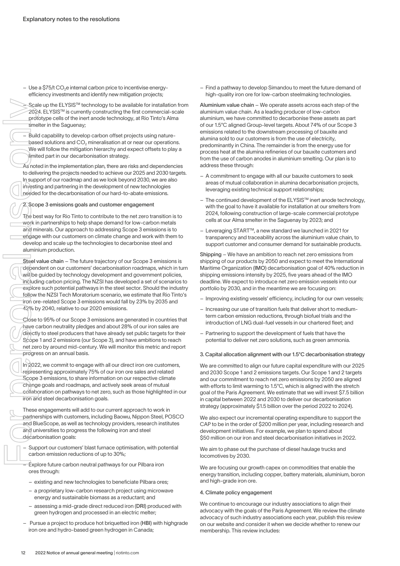– Use a  $$75/t$  CO<sub>2</sub>e internal carbon price to incentivise energyefficiency investments and identify new mitigation projects;

Scale up the ELYSIS™ technology to be available for installation from 2024. ELYSIS™ is currently constructing the first commercial-scale prototype cells of the inert anode technology, at Rio Tinto's Alma smelter in the Saguenay;

– Build capability to develop carbon offset projects using nature $b$ ased solutions and  $CO<sub>2</sub>$  mineralisation at or near our operations. We will follow the mitigation hierarchy and expect offsets to play a limited part in our decarbonisation strategy.

As noted in the implementation plan, there are risks and dependencies to delivering the projects needed to achieve our 2025 and 2030 targets. In support of our roadmap and as we look beyond 2030, we are also investing and partnering in the development of new technologies needed for the decarbonisation of our hard-to-abate emissions.

### 2. Scope 3 emissions goals and customer engagement

The best way for Rio Tinto to contribute to the net zero transition is to work in partnerships to help shape demand for low-carbon metals and minerals. Our approach to addressing Scope 3 emissions is to engage with our customers on climate change and work with them to develop and scale up the technologies to decarbonise steel and aluminium production.

Steel value chain – The future trajectory of our Scope 3 emissions is dependent on our customers' decarbonisation roadmaps, which in turn will be guided by technology development and government policies, including carbon pricing. The NZSI has developed a set of scenarios to explore such potential pathways in the steel sector. Should the industry follow the NZSI Tech Moratorium scenario, we estimate that Rio Tinto's iron ore-related Scope 3 emissions would fall by 23% by 2035 and 42% by 2040, relative to our 2020 emissions. Scale up the ELVSIS" technology to be availaby<br>  $2024$ , ELVSIS" technology to be availaby providing the first term of the form of the state of the state of annual general meeting the first expectation and computed particl

Close to 95% of our Scope 3 emissions are generated in countries that have carbon neutrality pledges and about 28% of our iron sales are directly to steel producers that have already set public targets for their Scope 1 and 2 emissions (our Scope 3), and have ambitions to reach net zero by around mid-century. We will monitor this metric and report progress on an annual basis.

In 2022, we commit to engage with all our direct iron ore customers, representing approximately 75% of our iron ore sales and related Scope 3 emissions, to share information on our respective climate change goals and roadmaps, and actively seek areas of mutual collaboration on pathways to net zero, such as those highlighted in our iron and steel decarbonisation goals.

These engagements will add to our current approach to work in partnerships with customers, including Baowu, Nippon Steel, POSCO and BlueScope, as well as technology providers, research institutes and universities to progress the following iron and steel decarbonisation goals:

– Support our customers' blast furnace optimisation, with potential carbon emission reductions of up to 30%;

– Explore future carbon neutral pathways for our Pilbara iron ores through:

- existing and new technologies to beneficiate Pilbara ores;
- a proprietary low-carbon research project using microwave energy and sustainable biomass as a reductant; and
- assessing a mid-grade direct reduced iron (DRI) produced with green hydrogen and processed in an electric melter;
- Pursue a project to produce hot briquetted iron (HBI) with highgrade iron ore and hydro-based green hydrogen in Canada;

– Find a pathway to develop Simandou to meet the future demand of high-quality iron ore for low-carbon steelmaking technologies.

Aluminium value chain – We operate assets across each step of the aluminium value chain. As a leading producer of low-carbon aluminium, we have committed to decarbonise these assets as part of our 1.5°C aligned Group-level targets. About 74% of our Scope 3 emissions related to the downstream processing of bauxite and alumina sold to our customers is from the use of electricity, predominantly in China. The remainder is from the energy use for process heat at the alumina refineries of our bauxite customers and from the use of carbon anodes in aluminium smelting. Our plan is to address these through:

- A commitment to engage with all our bauxite customers to seek areas of mutual collaboration in alumina decarbonisation projects, leveraging existing technical support relationships;
- The continued development of the ELYSIS™ inert anode technology, with the goal to have it available for installation at our smelters from 2024, following construction of large-scale commercial prototype cells at our Alma smelter in the Saguenay by 2023; and
- Leveraging STARTTM, a new standard we launched in 2021 for transparency and traceability across the aluminium value chain, to support customer and consumer demand for sustainable products.

Shipping – We have an ambition to reach net zero emissions from shipping of our products by 2050 and expect to meet the International Maritime Organization (IMO) decarbonisation goal of 40% reduction in shipping emissions intensity by 2025, five years ahead of the IMO deadline. We expect to introduce net zero emission vessels into our portfolio by 2030, and in the meantime we are focusing on:

- Improving existing vessels' efficiency, including for our own vessels;
- Increasing our use of transition fuels that deliver short to mediumterm carbon emission reductions, through biofuel trials and the introduction of LNG dual-fuel vessels in our chartered fleet; and
- Partnering to support the development of fuels that have the potential to deliver net zero solutions, such as green ammonia.

#### 3. Capital allocation alignment with our 1.5°C decarbonisation strategy

We are committed to align our future capital expenditure with our 2025 and 2030 Scope 1 and 2 emissions targets. Our Scope 1 and 2 targets and our commitment to reach net zero emissions by 2050 are aligned with efforts to limit warming to 1.5°C, which is aligned with the stretch goal of the Paris Agreement. We estimate that we will invest \$7.5 billion in capital between 2022 and 2030 to deliver our decarbonisation strategy (approximately \$1.5 billion over the period 2022 to 2024).

We also expect our incremental operating expenditure to support the CAP to be in the order of \$200 million per year, including research and development initiatives. For example, we plan to spend about \$50 million on our iron and steel decarbonisation initiatives in 2022.

We aim to phase out the purchase of diesel haulage trucks and locomotives by 2030.

We are focusing our growth capex on commodities that enable the energy transition, including copper, battery materials, aluminium, boron and high-grade iron ore.

#### 4. Climate policy engagement

We continue to encourage our industry associations to align their advocacy with the goals of the Paris Agreement. We review the climate advocacy of such industry associations each year, publish this review on our website and consider it when we decide whether to renew our membership. This review includes: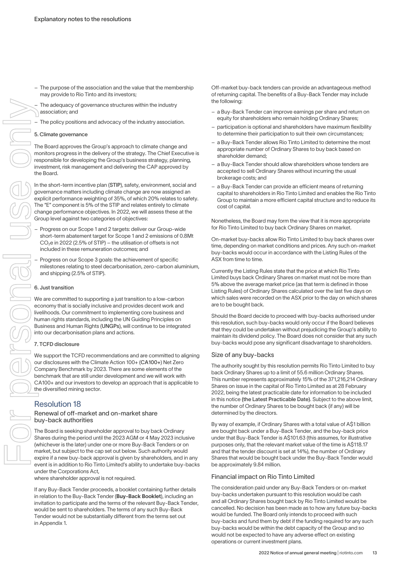- The adequacy of governance structures within the industry association; and
- The policy positions and advocacy of the industry association.

#### 5. Climate governance

The Board approves the Group's approach to climate change and monitors progress in the delivery of the strategy. The Chief Executive is responsible for developing the Group's business strategy, planning, investment, risk management and delivering the CAP approved by the Board.

In the short-term incentive plan (STIP), safety, environment, social and governance matters including climate change are now assigned an explicit performance weighting of 35%, of which 20% relates to safety. The "E" component is 5% of the STIP and relates entirely to climate change performance objectives. In 2022, we will assess these at the Group level against two categories of objectives:

- Progress on our Scope 1 and 2 targets: deliver our Group-wide short-term abatement target for Scope 1 and 2 emissions of 0.8Mt  $CO<sub>2</sub>e$  in 2022 (2.5% of STIP) – the utilisation of offsets is not included in these remuneration outcomes; and
- Progress on our Scope 3 goals: the achievement of specific milestones relating to steel decarbonisation, zero-carbon aluminium, and shipping (2.5% of STIP).

### 6. Just transition

We are committed to supporting a just transition to a low-carbon economy that is socially inclusive and provides decent work and livelihoods. Our commitment to implementing core business and human rights standards, including the UN Guiding Principles on Business and Human Rights (UNGPs), will continue to be integrated into our decarbonisation plans and actions.

#### 7. TCFD disclosure

We support the TCFD recommendations and are committed to aligning our disclosures with the Climate Action 100+ (CA100+) Net Zero Company Benchmark by 2023. There are some elements of the benchmark that are still under development and we will work with CA100+ and our investors to develop an approach that is applicable to the diversified mining sector.

# Resolution 18

#### Renewal of off-market and on-market share buy-back authorities

The Board is seeking shareholder approval to buy back Ordinary Shares during the period until the 2023 AGM or 4 May 2023 inclusive (whichever is the later) under one or more Buy-Back Tenders or on market, but subject to the cap set out below. Such authority would expire if a new buy-back approval is given by shareholders, and in any event is in addition to Rio Tinto Limited's ability to undertake buy-backs under the Corporations Act,

where shareholder approval is not required.

If any Buy-Back Tender proceeds, a booklet containing further details in relation to the Buy-Back Tender (Buy-Back Booklet), including an invitation to participate and the terms of the relevant Buy-Back Tender, would be sent to shareholders. The terms of any such Buy-Back Tender would not be substantially different from the terms set out in Appendix 1.

Off-market buy-back tenders can provide an advantageous method of returning capital. The benefits of a Buy-Back Tender may include the following:

- a Buy-Back Tender can improve earnings per share and return on equity for shareholders who remain holding Ordinary Shares;
- participation is optional and shareholders have maximum flexibility to determine their participation to suit their own circumstances;
- a Buy-Back Tender allows Rio Tinto Limited to determine the most appropriate number of Ordinary Shares to buy back based on shareholder demand;
- a Buy-Back Tender should allow shareholders whose tenders are accepted to sell Ordinary Shares without incurring the usual brokerage costs; and
- a Buy-Back Tender can provide an efficient means of returning capital to shareholders in Rio Tinto Limited and enables the Rio Tinto Group to maintain a more efficient capital structure and to reduce its cost of capital.

Nonetheless, the Board may form the view that it is more appropriate for Rio Tinto Limited to buy back Ordinary Shares on market.

On-market buy-backs allow Rio Tinto Limited to buy back shares over time, depending on market conditions and prices. Any such on-market buy-backs would occur in accordance with the Listing Rules of the ASX from time to time.

Currently the Listing Rules state that the price at which Rio Tinto Limited buys back Ordinary Shares on market must not be more than 5% above the average market price (as that term is defined in those Listing Rules) of Ordinary Shares calculated over the last five days on which sales were recorded on the ASX prior to the day on which shares are to be bought back.

Should the Board decide to proceed with buy-backs authorised under this resolution, such buy-backs would only occur if the Board believes that they could be undertaken without prejudicing the Group's ability to maintain its dividend policy. The Board does not consider that any such buy-backs would pose any significant disadvantage to shareholders.

#### Size of any buy-backs

The authority sought by this resolution permits Rio Tinto Limited to buy back Ordinary Shares up to a limit of 55.6 million Ordinary Shares. This number represents approximately 15% of the 371,216,214 Ordinary Shares on issue in the capital of Rio Tinto Limited as at 28 February 2022, being the latest practicable date for information to be included in this notice (the Latest Practicable Date). Subject to the above limit, the number of Ordinary Shares to be bought back (if any) will be determined by the directors.

By way of example, if Ordinary Shares with a total value of A\$1 billion are bought back under a Buy-Back Tender, and the buy-back price under that Buy-Back Tender is A\$101.63 (this assumes, for illustrative purposes only, that the relevant market value of the time is A\$118.17 and that the tender discount is set at 14%), the number of Ordinary Shares that would be bought back under the Buy-Back Tender would be approximately 9.84 million.

### Financial impact on Rio Tinto Limited

The consideration paid under any Buy-Back Tenders or on-market buy-backs undertaken pursuant to this resolution would be cash and all Ordinary Shares bought back by Rio Tinto Limited would be cancelled. No decision has been made as to how any future buy-backs would be funded. The Board only intends to proceed with such buy-backs and fund them by debt if the funding required for any such buy-backs would be within the debt capacity of the Group and so would not be expected to have any adverse effect on existing operations or current investment plans.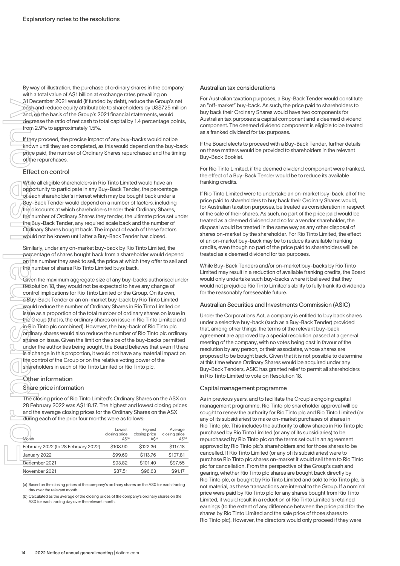By way of illustration, the purchase of ordinary shares in the company with a total value of A\$1 billion at exchange rates prevailing on 31 December 2021 would (if funded by debt), reduce the Group's net cash and reduce equity attributable to shareholders by US\$725 million and, on the basis of the Group's 2021 financial statements, would decrease the ratio of net cash to total capital by 1.4 percentage points, from 2.9% to approximately 1.5%.

If they proceed, the precise impact of any buy-backs would not be known until they are completed, as this would depend on the buy-back price paid, the number of Ordinary Shares repurchased and the timing of the repurchases.

#### Effect on control

While all eligible shareholders in Rio Tinto Limited would have an opportunity to participate in any Buy-Back Tender, the percentage of each shareholder's interest which may be bought back under a Buy-Back Tender would depend on a number of factors, including the discounts at which shareholders tender their Ordinary Shares, the number of Ordinary Shares they tender, the ultimate price set under the Buy-Back Tender, any required scale back and the number of Ordinary Shares bought back. The impact of each of these factors would not be known until after a Buy-Back Tender has closed.

Similarly, under any on-market buy-back by Rio Tinto Limited, the percentage of shares bought back from a shareholder would depend on the number they seek to sell, the price at which they offer to sell and the number of shares Rio Tinto Limited buys back.

Given the maximum aggregate size of any buy-backs authorised under Resolution 18, they would not be expected to have any change of control implications for Rio Tinto Limited or the Group. On its own, a Buy-Back Tender or an on-market buy-back by Rio Tinto Limited would reduce the number of Ordinary Shares in Rio Tinto Limited on issue as a proportion of the total number of ordinary shares on issue in the Group (that is, the ordinary shares on issue in Rio Tinto Limited and in Rio Tinto plc combined). However, the buy-back of Rio Tinto plc ordinary shares would also reduce the number of Rio Tinto plc ordinary shares on issue. Given the limit on the size of the buy-backs permitted under the authorities being sought, the Board believes that even if there is a change in this proportion, it would not have any material impact on the control of the Group or on the relative voting power of the shareholders in each of Rio Tinto Limited or Rio Tinto plc. 31 December 2022 Woodle (fi funded by debt), reduces the ratio of annual of the basis of the Group's 2022 Notice of any buy-basis of the Group's 2022 Notice of any buy-basis of the Group's 2022 Notice of any buy-basis onl

## Other information

## Share price information

The closing price of Rio Tinto Limited's Ordinary Shares on the ASX on 28 February 2022 was A\$118.17. The highest and lowest closing prices and the average closing prices for the Ordinary Shares on the ASX during each of the prior four months were as follows:

|  | Month                               | Lowest<br>closing price<br>AS <sup>(a)</sup> | Highest<br>closing price<br>AS <sup>(a)</sup> | Average<br>closing price<br>AS <sup>(b)</sup> |
|--|-------------------------------------|----------------------------------------------|-----------------------------------------------|-----------------------------------------------|
|  | February 2022 (to 28 February 2022) | \$108.90                                     | \$122.36                                      | \$117.18                                      |
|  | January 2022                        | \$99.69                                      | \$113.76                                      | \$107.81                                      |
|  | December 2021                       | \$93.82                                      | \$101.40                                      | \$97.55                                       |
|  | November 2021                       | \$87.51                                      | \$96.63                                       | <b>\$91.17</b>                                |
|  |                                     |                                              |                                               |                                               |

(a) Based on the closing prices of the company's ordinary shares on the ASX for each trading day over the relevant month.

(b) Calculated as the average of the closing prices of the company's ordinary shares on the ASX for each trading day over the relevant month.

#### Australian tax considerations

For Australian taxation purposes, a Buy-Back Tender would constitute an "off-market" buy-back. As such, the price paid to shareholders to buy back their Ordinary Shares would have two components for Australian tax purposes: a capital component and a deemed dividend component. The deemed dividend component is eligible to be treated as a franked dividend for tax purposes.

If the Board elects to proceed with a Buy-Back Tender, further details on these matters would be provided to shareholders in the relevant Buy-Back Booklet.

For Rio Tinto Limited, if the deemed dividend component were franked, the effect of a Buy-Back Tender would be to reduce its available franking credits.

If Rio Tinto Limited were to undertake an on-market buy-back, all of the price paid to shareholders to buy back their Ordinary Shares would, for Australian taxation purposes, be treated as consideration in respect of the sale of their shares. As such, no part of the price paid would be treated as a deemed dividend and so for a vendor shareholder, the disposal would be treated in the same way as any other disposal of shares on-market by the shareholder. For Rio Tinto Limited, the effect of an on-market buy-back may be to reduce its available franking credits, even though no part of the price paid to shareholders will be treated as a deemed dividend for tax purposes.

While Buy-Back Tenders and/or on-market buy-backs by Rio Tinto Limited may result in a reduction of available franking credits, the Board would only undertake such buy-backs where it believed that they would not prejudice Rio Tinto Limited's ability to fully frank its dividends for the reasonably foreseeable future.

#### Australian Securities and Investments Commission (ASIC)

Under the Corporations Act, a company is entitled to buy back shares under a selective buy-back (such as a Buy-Back Tender) provided that, among other things, the terms of the relevant buy-back agreement are approved by a special resolution passed at a general meeting of the company, with no votes being cast in favour of the resolution by any person, or their associates, whose shares are proposed to be bought back. Given that it is not possible to determine at this time whose Ordinary Shares would be acquired under any Buy-Back Tenders, ASIC has granted relief to permit all shareholders in Rio Tinto Limited to vote on Resolution 18.

#### Capital management programme

As in previous years, and to facilitate the Group's ongoing capital management programme, Rio Tinto plc shareholder approval will be sought to renew the authority for Rio Tinto plc and Rio Tinto Limited (or any of its subsidiaries) to make on-market purchases of shares in Rio Tinto plc. This includes the authority to allow shares in Rio Tinto plc purchased by Rio Tinto Limited (or any of its subsidiaries) to be repurchased by Rio Tinto plc on the terms set out in an agreement approved by Rio Tinto plc's shareholders and for those shares to be cancelled. If Rio Tinto Limited (or any of its subsidiaries) were to purchase Rio Tinto plc shares on-market it would sell them to Rio Tinto plc for cancellation. From the perspective of the Group's cash and gearing, whether Rio Tinto plc shares are bought back directly by Rio Tinto plc, or bought by Rio Tinto Limited and sold to Rio Tinto plc, is not material, as these transactions are internal to the Group. If a nominal price were paid by Rio Tinto plc for any shares bought from Rio Tinto Limited, it would result in a reduction of Rio Tinto Limited's retained earnings (to the extent of any difference between the price paid for the shares by Rio Tinto Limited and the sale price of those shares to Rio Tinto plc). However, the directors would only proceed if they were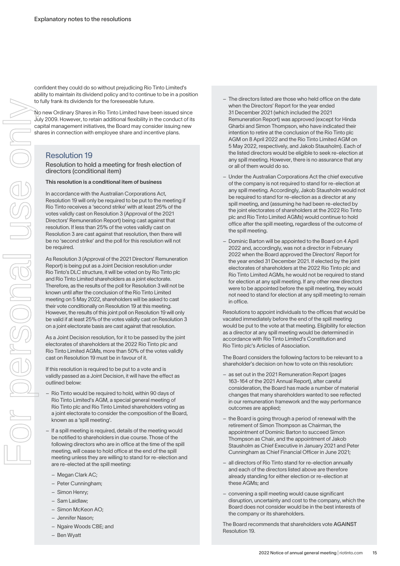confident they could do so without prejudicing Rio Tinto Limited's ability to maintain its dividend policy and to continue to be in a position to fully frank its dividends for the foreseeable future.

No new Ordinary Shares in Rio Tinto Limited have been issued since July 2009. However, to retain additional flexibility in the conduct of its capital management initiatives, the Board may consider issuing new shares in connection with employee share and incentive plans.

# Resolution 19

Resolution to hold a meeting for fresh election of directors (conditional item)

This resolution is a conditional item of business

In accordance with the Australian Corporations Act, Resolution 19 will only be required to be put to the meeting if Rio Tinto receives a 'second strike' with at least 25% of the votes validly cast on Resolution 3 (Approval of the 2021 Directors' Remuneration Report) being cast against that resolution. If less than 25% of the votes validly cast on Resolution 3 are cast against that resolution, then there will be no 'second strike' and the poll for this resolution will not be required.

As Resolution 3 (Approval of the 2021 Directors' Remuneration Report) is being put as a Joint Decision resolution under Rio Tinto's DLC structure, it will be voted on by Rio Tinto plc and Rio Tinto Limited shareholders as a joint electorate. Therefore, as the results of the poll for Resolution 3 will not be known until after the conclusion of the Rio Tinto Limited meeting on 5 May 2022, shareholders will be asked to cast their vote conditionally on Resolution 19 at this meeting. However, the results of this joint poll on Resolution 19 will only be valid if at least 25% of the votes validly cast on Resolution 3 on a joint electorate basis are cast against that resolution.

As a Joint Decision resolution, for it to be passed by the joint electorates of shareholders at the 2022 Rio Tinto plc and Rio Tinto Limited AGMs, more than 50% of the votes validly cast on Resolution 19 must be in favour of it.

If this resolution is required to be put to a vote and is validly passed as a Joint Decision, it will have the effect as outlined below:

- Rio Tinto would be required to hold, within 90 days of Rio Tinto Limited's AGM, a special general meeting of Rio Tinto plc and Rio Tinto Limited shareholders voting as a joint electorate to consider the composition of the Board, known as a 'spill meeting'.
- If a spill meeting is required, details of the meeting would be notified to shareholders in due course. Those of the following directors who are in office at the time of the spill meeting, will cease to hold office at the end of the spill meeting unless they are willing to stand for re-election and are re-elected at the spill meeting:
	- Megan Clark AC;
	- Peter Cunningham;
	- Simon Henry;
	- Sam Laidlaw;
	- Simon McKeon AO;
	- Jennifer Nason;
	- Ngaire Woods CBE; and
	- Ben Wyatt
- The directors listed are those who held office on the date when the Directors' Report for the year ended 31 December 2021 (which included the 2021 Remuneration Report) was approved (except for Hinda Gharbi and Simon Thompson, who have indicated their intention to retire at the conclusion of the Rio Tinto plc AGM on 8 April 2022 and the Rio Tinto Limited AGM on 5 May 2022, respectively, and Jakob Stausholm). Each of the listed directors would be eligible to seek re-election at any spill meeting. However, there is no assurance that any or all of them would do so.
- Under the Australian Corporations Act the chief executive of the company is not required to stand for re-election at any spill meeting. Accordingly, Jakob Stausholm would not be required to stand for re-election as a director at any spill meeting, and (assuming he had been re-elected by the joint electorates of shareholders at the 2022 Rio Tinto plc and Rio Tinto Limited AGMs) would continue to hold office after the spill meeting, regardless of the outcome of the spill meeting.
- Dominic Barton will be appointed to the Board on 4 April 2022 and, accordingly, was not a director in February 2022 when the Board approved the Directors' Report for the year ended 31 December 2021. If elected by the joint electorates of shareholders at the 2022 Rio Tinto plc and Rio Tinto Limited AGMs, he would not be required to stand for election at any spill meeting. If any other new directors were to be appointed before the spill meeting, they would not need to stand for election at any spill meeting to remain in office.

Resolutions to appoint individuals to the offices that would be vacated immediately before the end of the spill meeting would be put to the vote at that meeting. Eligibility for election as a director at any spill meeting would be determined in accordance with Rio Tinto Limited's Constitution and Rio Tinto plc's Articles of Association.

The Board considers the following factors to be relevant to a shareholder's decision on how to vote on this resolution:

- as set out in the 2021 Remuneration Report (pages 163-164 of the 2021 Annual Report), after careful consideration, the Board has made a number of material changes that many shareholders wanted to see reflected in our remuneration framework and the way performance outcomes are applied;
- the Board is going through a period of renewal with the retirement of Simon Thompson as Chairman, the appointment of Dominic Barton to succeed Simon Thompson as Chair, and the appointment of Jakob Stausholm as Chief Executive in January 2021 and Peter Cunningham as Chief Financial Officer in June 2021;
- all directors of Rio Tinto stand for re-election annually and each of the directors listed above are therefore already standing for either election or re-election at these AGMs; and
- convening a spill meeting would cause significant disruption, uncertainty and cost to the company, which the Board does not consider would be in the best interests of the company or its shareholders.

The Board recommends that shareholders vote AGAINST Resolution 19.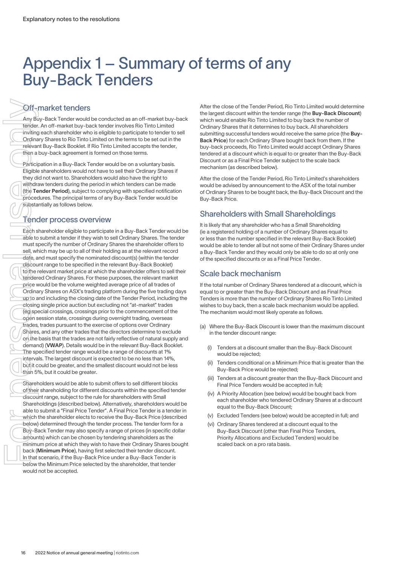# Appendix 1 – Summary of terms of any Buy-Back Tenders

# Off-market tenders

Any Buy-Back Tender would be conducted as an off-market buy-back tender. An off-market buy-back tender involves Rio Tinto Limited inviting each shareholder who is eligible to participate to tender to sell Ordinary Shares to Rio Tinto Limited on the terms to be set out in the relevant Buy-Back Booklet. If Rio Tinto Limited accepts the tender, then a buy-back agreement is formed on those terms.

Participation in a Buy-Back Tender would be on a voluntary basis. Eligible shareholders would not have to sell their Ordinary Shares if they did not want to. Shareholders would also have the right to withdraw tenders during the period in which tenders can be made (the Tender Period), subject to complying with specified notification procedures. The principal terms of any Buy-Back Tender would be substantially as follows below.

# Tender process overview

Each shareholder eligible to participate in a Buy-Back Tender would be able to submit a tender if they wish to sell Ordinary Shares. The tender must specify the number of Ordinary Shares the shareholder offers to sell, which may be up to all of their holding as at the relevant record date, and must specify the nominated discount(s) (within the tender discount range to be specified in the relevant Buy-Back Booklet) to the relevant market price at which the shareholder offers to sell their tendered Ordinary Shares. For these purposes, the relevant market price would be the volume weighted average price of all trades of Ordinary Shares on ASX's trading platform during the five trading days up to and including the closing date of the Tender Period, including the closing single price auction but excluding not "at-market" trades (eg special crossings, crossings prior to the commencement of the open session state, crossings during overnight trading, overseas trades, trades pursuant to the exercise of options over Ordinary Shares, and any other trades that the directors determine to exclude on the basis that the trades are not fairly reflective of natural supply and demand) (VWAP). Details would be in the relevant Buy-Back Booklet. The specified tender range would be a range of discounts at 1% intervals. The largest discount is expected to be no less than 14%, but it could be greater, and the smallest discount would not be less than 5%, but it could be greater. Off-Imarket tenders<br>
May Buy-Back Tender would be conducted as an off-inark buy-back tender works eligible to paratitic of minimal general to the term of this term of the complete of the Tender of the annual back of the mi

Shareholders would be able to submit offers to sell different blocks of their shareholding for different discounts within the specified tender discount range, subject to the rule for shareholders with Small Shareholdings (described below). Alternatively, shareholders would be able to submit a "Final Price Tender". A Final Price Tender is a tender in which the shareholder elects to receive the Buy-Back Price (described below) determined through the tender process. The tender form for a Buy-Back Tender may also specify a range of prices (in specific dollar amounts) which can be chosen by tendering shareholders as the minimum price at which they wish to have their Ordinary Shares bought back (Minimum Price), having first selected their tender discount. In that scenario, if the Buy-Back Price under a Buy-Back Tender is below the Minimum Price selected by the shareholder, that tender would not be accepted.

After the close of the Tender Period, Rio Tinto Limited would determine the largest discount within the tender range (the Buy-Back Discount) which would enable Rio Tinto Limited to buy back the number of Ordinary Shares that it determines to buy back. All shareholders submitting successful tenders would receive the same price (the Buy-Back Price) for each Ordinary Share bought back from them. If the buy-back proceeds, Rio Tinto Limited would accept Ordinary Shares tendered at a discount which is equal to or greater than the Buy-Back Discount or as a Final Price Tender subject to the scale back mechanism (as described below).

After the close of the Tender Period, Rio Tinto Limited's shareholders would be advised by announcement to the ASX of the total number of Ordinary Shares to be bought back, the Buy-Back Discount and the Buy-Back Price.

# Shareholders with Small Shareholdings

It is likely that any shareholder who has a Small Shareholding (ie a registered holding of a number of Ordinary Shares equal to or less than the number specified in the relevant Buy-Back Booklet) would be able to tender all but not some of their Ordinary Shares under a Buy-Back Tender and they would only be able to do so at only one of the specified discounts or as a Final Price Tender.

# Scale back mechanism

If the total number of Ordinary Shares tendered at a discount, which is equal to or greater than the Buy-Back Discount and as Final Price Tenders is more than the number of Ordinary Shares Rio Tinto Limited wishes to buy back, then a scale back mechanism would be applied. The mechanism would most likely operate as follows.

- (a) Where the Buy-Back Discount is lower than the maximum discount in the tender discount range:
	- (i) Tenders at a discount smaller than the Buy-Back Discount would be rejected;
	- (ii) Tenders conditional on a Minimum Price that is greater than the Buy-Back Price would be rejected;
	- (iii) Tenders at a discount greater than the Buy-Back Discount and Final Price Tenders would be accepted in full;
	- (iv) A Priority Allocation (see below) would be bought back from each shareholder who tendered Ordinary Shares at a discount equal to the Buy-Back Discount;
	- (v) Excluded Tenders (see below) would be accepted in full; and
	- (vi) Ordinary Shares tendered at a discount equal to the Buy-Back Discount (other than Final Price Tenders, Priority Allocations and Excluded Tenders) would be scaled back on a pro rata basis.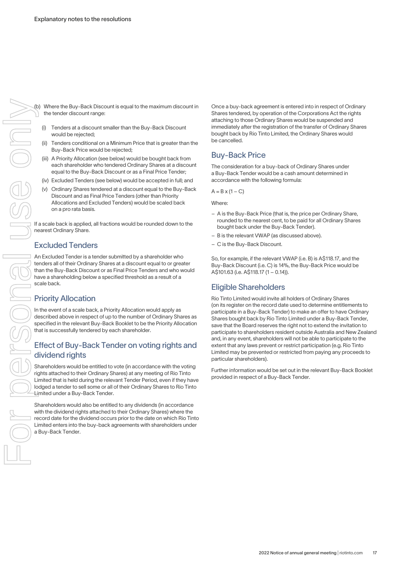(b) Where the Buy-Back Discount is equal to the maximum discount in the tender discount range:

- Tenders at a discount smaller than the Buy-Back Discount would be rejected;
- (ii) Tenders conditional on a Minimum Price that is greater than the Buy-Back Price would be rejected;
- (iii) A Priority Allocation (see below) would be bought back from each shareholder who tendered Ordinary Shares at a discount equal to the Buy-Back Discount or as a Final Price Tender;
- (iv) Excluded Tenders (see below) would be accepted in full; and
- (v) Ordinary Shares tendered at a discount equal to the Buy-Back Discount and as Final Price Tenders (other than Priority Allocations and Excluded Tenders) would be scaled back on a pro rata basis.

If a scale back is applied, all fractions would be rounded down to the nearest Ordinary Share.

# Excluded Tenders

An Excluded Tender is a tender submitted by a shareholder who tenders all of their Ordinary Shares at a discount equal to or greater than the Buy-Back Discount or as Final Price Tenders and who would have a shareholding below a specified threshold as a result of a scale back.

# **Priority Allocation**

In the event of a scale back, a Priority Allocation would apply as described above in respect of up to the number of Ordinary Shares as specified in the relevant Buy-Back Booklet to be the Priority Allocation that is successfully tendered by each shareholder.

# Effect of Buy-Back Tender on voting rights and dividend rights

Shareholders would be entitled to vote (in accordance with the voting rights attached to their Ordinary Shares) at any meeting of Rio Tinto Limited that is held during the relevant Tender Period, even if they have lodged a tender to sell some or all of their Ordinary Shares to Rio Tinto Limited under a Buy-Back Tender.

Shareholders would also be entitled to any dividends (in accordance with the dividend rights attached to their Ordinary Shares) where the record date for the dividend occurs prior to the date on which Rio Tinto Limited enters into the buy-back agreements with shareholders under a Buy-Back Tender.

Once a buy-back agreement is entered into in respect of Ordinary Shares tendered, by operation of the Corporations Act the rights attaching to those Ordinary Shares would be suspended and immediately after the registration of the transfer of Ordinary Shares bought back by Rio Tinto Limited, the Ordinary Shares would be cancelled.

# Buy-Back Price

The consideration for a buy-back of Ordinary Shares under a Buy-Back Tender would be a cash amount determined in accordance with the following formula:

 $A = B \times (1 - C)$ 

Where:

- A is the Buy-Back Price (that is, the price per Ordinary Share, rounded to the nearest cent, to be paid for all Ordinary Shares bought back under the Buy-Back Tender).
- B is the relevant VWAP (as discussed above).
- C is the Buy-Back Discount.

So, for example, if the relevant VWAP (i.e. B) is A\$118.17, and the Buy-Back Discount (i.e. C) is 14%, the Buy-Back Price would be A\$101.63 (i.e. A\$118.17 (1 – 0.14)).

# Eligible Shareholders

Rio Tinto Limited would invite all holders of Ordinary Shares (on its register on the record date used to determine entitlements to participate in a Buy-Back Tender) to make an offer to have Ordinary Shares bought back by Rio Tinto Limited under a Buy-Back Tender, save that the Board reserves the right not to extend the invitation to participate to shareholders resident outside Australia and New Zealand and, in any event, shareholders will not be able to participate to the extent that any laws prevent or restrict participation (e.g. Rio Tinto Limited may be prevented or restricted from paying any proceeds to particular shareholders).

Further information would be set out in the relevant Buy-Back Booklet provided in respect of a Buy-Back Tender.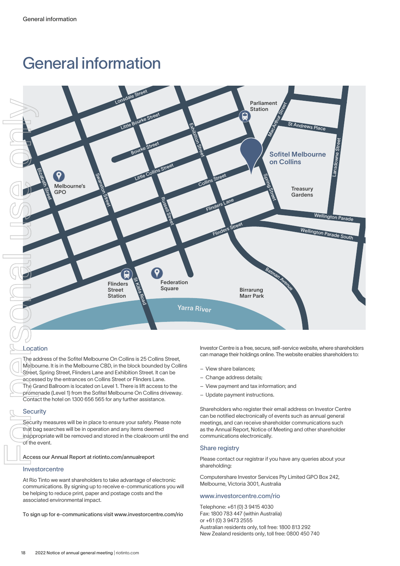# General information



## Location

The address of the Sofitel Melbourne On Collins is 25 Collins Street, Melbourne. It is in the Melbourne CBD, in the block bounded by Collins Street, Spring Street, Flinders Lane and Exhibition Street. It can be accessed by the entrances on Collins Street or Flinders Lane. The Grand Ballroom is located on Level 1. There is lift access to the promenade (Level 1) from the Sofitel Melbourne On Collins driveway. Contact the hotel on 1300 656 565 for any further assistance.

## **Security**

Security measures will be in place to ensure your safety. Please note that bag searches will be in operation and any items deemed inappropriate will be removed and stored in the cloakroom until the end of the event.

#### Access our Annual Report at [riotinto.com/annualreport](https://www.riotinto.com/invest/reports/annual-report)

## Investorcentre

At Rio Tinto we want shareholders to take advantage of electronic communications. By signing up to receive e-communications you will be helping to reduce print, paper and postage costs and the associated environmental impact.

To sign up for e-communications visit [www.investorcentre.com/rio](https://www-au.computershare.com/Investor/#Home?landing=y&issuerid=scaurio&showinvestorcontact=n)

Investor Centre is a free, secure, self-service website, where shareholders can manage their holdings online. The website enables shareholders to:

- View share balances;
- Change address details;
- View payment and tax information; and
- Update payment instructions.

Shareholders who register their email address on Investor Centre can be notified electronically of events such as annual general meetings, and can receive shareholder communications such as the Annual Report, Notice of Meeting and other shareholder communications electronically.

### Share registry

Please contact our registrar if you have any queries about your shareholding:

Computershare Investor Services Pty Limited GPO Box 242, Melbourne, Victoria 3001, Australia

### www.investorcentre.com/rio

Telephone: +61 (0) 3 9415 4030 Fax: 1800 783 447 (within Australia) or +61 (0) 3 9473 2555 Australian residents only, toll free: 1800 813 292 New Zealand residents only, toll free: 0800 450 740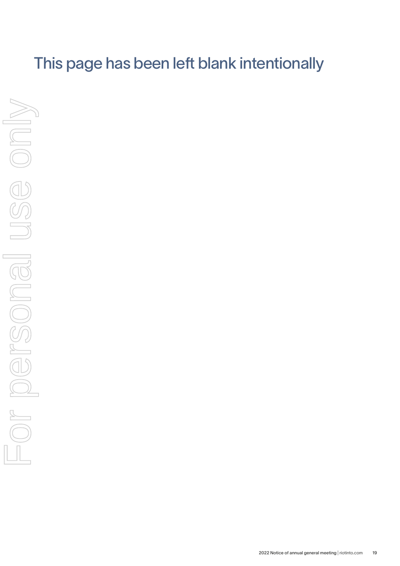# This page has been left blank intentionally